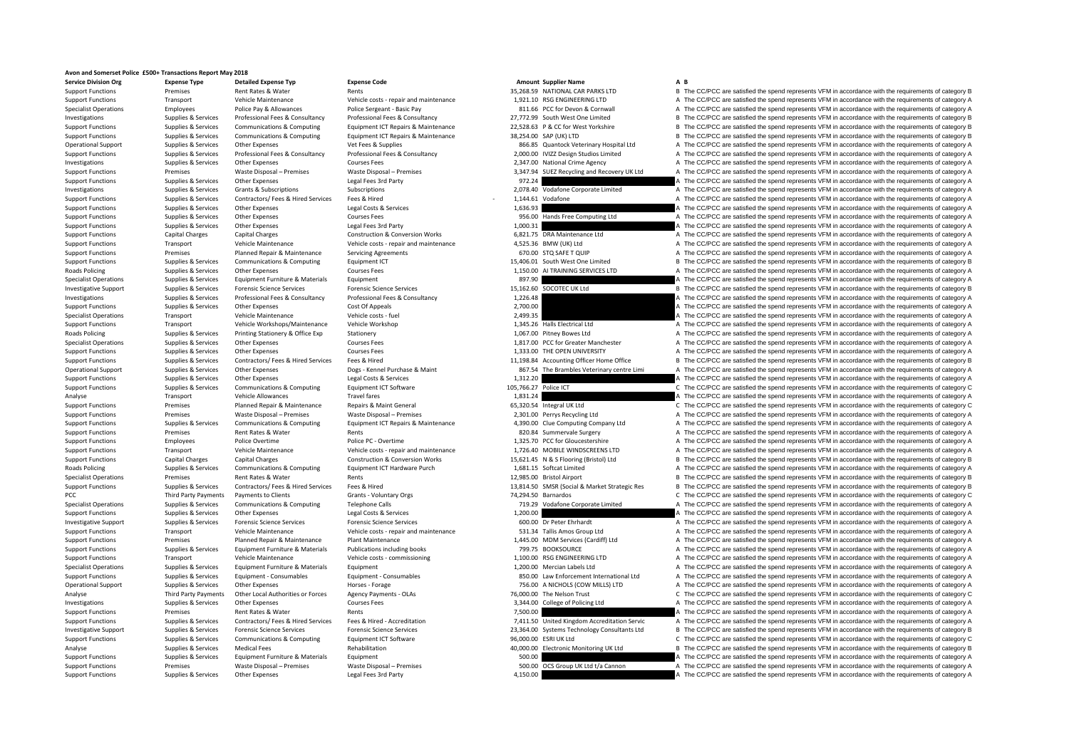## **Avon and Somerset Police £500+ Transactions Report May 2018**

**Service DivisionRoads Policing Roads Policing Roads Policing** PCC Third Party Payments

**Org Expense Type Detailed Expense Typ Expense Code Amount Supplier Name A B**

## Support Functions Premises Rent Rates & Water Rents Rents Rents Rent Rent Rent Rent Rents 35,268.59 NATIONAL CAR PARKS LTD B The CC/PCC are satisfied the spend represents VFM in accordance with the requirements of category Support Functions Transport Vehicle Maintenance Vehicle costs ‐ repair and maintenance 1,921.10 RSG ENGINEERING LTD A The CC/PCC are satisfied the spend represents VFM in accordance with the requirements of category A Supp A The CC/PCC are satisfied the spend represents VFM in accordance with the requirements of category A Investigations Supplies & Services Professional Fees & Consultancy Professional Fees & Consultancy Professional Fees & Consultancy Professional Fees & Consultancy Professional Fees & Consultancy Professional Fees & Consult Support Functions Supplies & Services Communications & Computing Equipment ICT Repairs & Maintenance 22,528.63 P & CC for West Yorkshire B The CC/PCC are satisfied the spend represents VFM in accordance with the requiremen B The CC/PCC are satisfied the spend represents VFM in accordance with the requirements of category B Operational Support Supplies & Services Other Expenses Vet Fees & Supplies Vet Fees & Supplies Vet Fees & Supplies Vet Fees & Supplies Vet Fees & Supplies Vet Fees & Supplies Vet Fees & Supplies Supplies Vet Fees & Supplie Supplies & Services Professional Fees & Consultancy Professional Fees & Consultancy Professional Fees & Consultancy Professional Fees & Consultancy Professional Fees & Consultancy Professional Fees & Consultancy Profession Investigations Supplies A Services Other Expenses Courses Fees Courses Fees Courses Fees 2,347.00 National Crime Agency A The CC/PCC are satisfied the spend represents VFM in accordance with the requirements of category A Premises Waste Disposal – Premises Waste Disposal – Premises 3,347.94 SUEZ Recycling and Recovery UK Ltd A The CC/PCC are satisfied the spend represents VFM in accordance with the requirements of category A Support Functions Supplies & Services Other Expenses Legal Fees 3rd Party Legal Fees 3rd Party 972.24 A The CC/PCC are satisfied the spend represents VFM in accordance with the requirements of category A Declevents VFM in Investigations Supplies & Services Grants & Subscriptions Subscriptions Subscriptions 2,078.40 Vodafone Corporate Limited A The CC/PCC are satisfied the spend represents VFM in accordance with the requirements of category Support Functions Supplies & Services Contractors/ Fees & Hired Services Fees & Hired 1,144.61 Vodafone 1,144.61 Vodafone A The CC/PCC are satisfied the spend represents VFM in accordance with the requirements of category Support Functions Supplies & Services Other Expenses Legal Costs & Services Legal Costs & Services Legal Costs & Services Courses Fees Courses Expenditions and the CC/PCC are satisfied the spend represents VFM in accordanc Support Functions Support Courses Courses Courses Courses Fees 956.00 Hands Free Computing Ltd A The CC/PCC are satisfied the spend represents VFM in accordance with the requirements of category A The CC/PCC are satisfied Support Functions Supplies & Services Other Expenses Legal Fees 3rd Party and the services Capital Charges Capital Charges Capital Charges Capital Charges Capital Charges Construction & Conversion Works 6,821.75 DRA Mainte A The CC/PCC are satisfied the spend represents VFM in accordance with the requirements of category A Support Functions Transport Vehicle Maintenance Vehicle costs ‐ repair and maintenance 4,525.36 BMW (UK) Ltd A The CC/PCC are satisfied the spend represents VFM in accordance with the requirements of category A Support Fun Support Functions Premises Planned Repair & Maintenance Servicing Agreements 670.00 STQ SAFE T QUIP A The CC/PCC are satisfied the spend represents VFM in accordance with the requirements of category A Support Functions Su Support Functions Supplies & Services Communications & Computing Equipment ICT and the Support CT 15,406.01 South West One Limited B The CC/PCC are satisfied the spend represents VFM in accordance with the requirements of Supplies & Services Other Expenses Courses Fees 1,150.00 AI TRAINING SERVICES LTD A The CC/PCC are satisfied the spend represents VFM in accordance with the requirements of category A Specialist Operations Supplies & Services Equipment Furniture & Materials Equipment Equipment Equipment Equipment Equipment Equipment A The CC/PCC are satisfied the spend represents VFM in accordance with the requirements Investigative Support Supplies & Services Forensic Science Services Forensic Science Services Forensic Science Services Forensic Science Services Forensic Science Services and the services of the SC/PCC are satisfied the s Investigations Supplies & Services Professional Fees & Consultancy Professional Fees & Consultancy 1,226.48 A The CC/PCC are satisfied the spend represents VFM in accordance with the requirements of category A Support Functions Supplies & Services Other Expenses Cost Of Appeals Cost Of Appeals 2,700.00 2,700.00 A The CC/PCC are satisfied the spend represents VFM in accordance with the requirements of category A Services Transpor Specialist Operations Vehicle costs - fuel matches of category A The CC/PCC are satisfied the spend represents VFM in accordance with the requirements of category A Vehicle Costs - fuel the spend represents VFM in accordan Support Functions Transport Vehicle Workshops/Maintenance Vehicle Workshop 1,345.26 Halls Electrical Ltd A The CC/PCC are satisfied the spend represents VFM in accordance with the requirements of category A Realism and Sup Policing Supplies & Services Printing Stationery & Office Exp Stationery 1,067.00 Pitney Bowes Ltd A The CC/PCC are satisfied the spend represents VFM in accordance with the requirements of category A Specialist Operations Supplies & Services Other Expenses Courses Fees Courses Fees 1,817.00 PCC for Greater Manchester A The CC/PCC are satisfied the spend represents VFM in accordance with the requirements of category A T Support Functions Supplies & Services Other Expenses Courses Fees Courses Fees 1,333.00 THE OPEN UNIVERSITY A The CC/PCC are satisfied the spend represents VFM in accordance with the requirements of category A Support Functions Supplies & Services Contractors/ Fees & Hired Services Fees & Hired Hired Function Purchase & Maint 11,198.84 Accounting Officer Home Office Bureautional Branche of Photogroups Supplies & Services Other E Operational Supples are increased by the Expenses and Dogs-Kennel Purchase & Maint and the Barables Veterinary centre Limi and The CC/PCC are satisfied the spend represents VFM in accordance with the requirements of catego A The CC/PCC are satisfied the spend represents VFM in accordance with the requirements of category A Support Functions Supplies & Services Communications & Computing Equipment ICT Software 105,766.27 Police ICT C The CC/PCC are satisfied the spend represents VFM in accordance with the requirements of category C and the se Analyse Transport Vehicle Allowances Travel fares Travel fares 1,831.24 A The CC/PCC are satisfied the spend represents VFM in accordance with the requirements of category A Support Functions Premises Planned Repair & Maintenance Repairs & Maint General 65,320.54 Integral UK Ltd C The CC/PCC are satisfied the spend represents VFM in accordance with the requirements of category C Support Functions Premises Waste Disposal – Premises Waste Disposal – Premises Waste Disposal – Premises 2,301.00 Perrys Recycling Ltd A The CC/PCC are satisfied the spend represents VFM in accordance with the requirements Supplies & Services Communications & Computing Equipment ICT Repairs & Maintenance 4.390.00 Clue Computing Company Ltd A The CC/PCC are satisfied the spend represents VFM in accordance with the requirements of category A Support Functions Premises Premises Rent Rates & Water Rents Rents Rents Rents Rents Rents Rents 820.84 Summervale Surgery A The CC/PCC are satisfied the spend represents VFM in accordance with the requirements of category Support Functions Employees Police Overtime Police PC - Overtime Police PC - Overtime 1,325.70 PCC for Gloucestershire A The CC/PCC are satisfied the spend represents VFM in accordance with the requirements of category A S Transport Vehicle Maintenance Vehicle costs - repair and maintenance 1,726.40 MOBILE WINDSCREENS LTD A The CC/PCC are satisfied the spend represents VFM in accordance with the requirements of category A Support Functions Capital Charges Capital Charges Construction & Conversion Works 15,621.45 N & S Flooring (Bristol) Ltd B The CC/PCC are satisfied the spend represents VFM in accordance with the requirements of category B Supplies & Services Communications & Computing Equipment ICT Hardware Purch 1,681.15 Softcat Limited A The CC/PCC are satisfied the spend represents VFM in accordance with the requirements of category A Specialist Operations Premises Rent Rates & Water Rents 12,985.00 Bristol Airport B The CC/PCC are satisfied the spend represents VFM in accordance with the requirements of category B Supplies & Services Contractors/ Fees & Hired Services Fees & Hired The Supplies of the Supplies & Services Contractors/ Fees & Hired Fees & Hired The Supplies Research Supplies & Services Fees & Hired Fees & Hired The Sup Payments to Clients Grants Foluntary Orgs The Stategory C The CC/PCC are satisfied the spend represents VFM in accordance with the requirements of category C The CC/PCC are satisfied the spend represents VFM in accordance Specialist Operations Supplies & Services Communications & Computing Telephone Calls 719.29 Vodafone Corporate Limited A The CC/PCC are satisfied the spend represents VFM in accordance with the requirements of category A S A The CC/PCC are satisfied the spend represents VFM in accordance with the requirements of category A Investigative Support Supplies & Services Forensic Science Services Forensic Science Services Forensic Science Services Forensic Science Services 600.00 Dr Peter Ehrhardt A The CC/PCC are satisfied the spend represents VFM Support Functions Transport Vehicle Maintenance Vehicle costs ‐ repair and maintenance S31.34 Tallis Amos Group Ltd A The CC/PCC are satisfied the spend represents VFM in accordance with the requirements of category A Support Functions Premises Planned Repair & Maintenance Plant Maintenance Plant Maintenance 1,445.00 MDM Services (Cardiff) Ltd A The CC/PCC are satisfied the spend represents VFM in accordance with the requirements of cat Support Functions Supplies & Services Equipment Furniture & Materials Publications including books 799.75 BOOKSOURCE A The CC/PCC are satisfied the spend represents VFM in accordance with the requirements of category A The Support Functions Transport Vehicle Maintenance Vehicle costs ‐ commissioning 1,100.00 RSG ENGINEERING LTD A The CC/PCC are satisfied the spend represents VFM in accordance with the requirements of category A Specialist Operations Supplies & Services Equipment Furniture & Materials Equipment 1,200.00 Mercian Labels Ltd A The CC/PCC are satisfied the spend represents VFM in accordance with the requirements of category A Support Functions Supplies & Services Equipment - Consumables Calignment - Consumables Equipment - Consumables<br>Consuming the COPCC are satisfied the spend represents VFM in accordance with the requirements of category A Co Operational Support Supplies & Services Other Expenses Horses Forage Horses - Forage Horses - Forage 196.00 A NICHOLS (COW MILLS) LTD A The CC/PCC are satisfied the spend represents VFM in accordance with the requirements Analyse Third Party Payments Other Local Authorities or Forces Agency Payments - OLAs 76,000.00 The Nelson Trust C The CC/PCC are satisfied the spend represents VFM in accordance with the requirements of category Courses F Investigations Supplies Services Other Expenses Courses Fees Courses Fees Samples and a The CC/PCC are satisfied the spend represents VFM in accordance with the requirements of category A Support Functions Premises Rent Ra A The CC/PCC are satisfied the spend represents VFM in accordance with the requirements of category A Support Functions Supplies & Services Contractors/ Fees & Hired Services Fees & Hired - Accreditation 7,411.50 United Kingdom Accreditation Service The CC/PCC are satisfied the spend represents VFM in accordance with the r Investigative Support Supplies & Services Forensic Science Services Forensic Science Services Forensic Science Services Forensic Science Services (Figures Services 23.364.00 Systems Technology Consultants Ltd B The CC/PCC Support Functions Supplies & Services Communications & Computing Equipment ICT Software 96,000.00 ESRI UK Ltd COMPCC are Satisfied the spend represents VFM in accordance with the requirements of category C and a marked the Analyse Supplies Services Medical Fees Rehabilitation Rehabilitation Rehabilitation 40,000.00 Electronic Monitoring UK Ltd B The CC/PCC are satisfied the spend represents VFM in accordance with the requirements of category Equipment Functions Supplies A The CC/PCC are satisfied the spend represents VFM in accordance with the requirements of category A Support Functions Premises Waste Disposal – Premises Waste Disposal – Premises Waste Disposal – Premises Waste Disposal – Premises Support English and the CC/PCC are satisfied the spend represents VFM in accordance with th A The CC/PCC are satisfied the spend represents VFM in accordance with the requirements of category A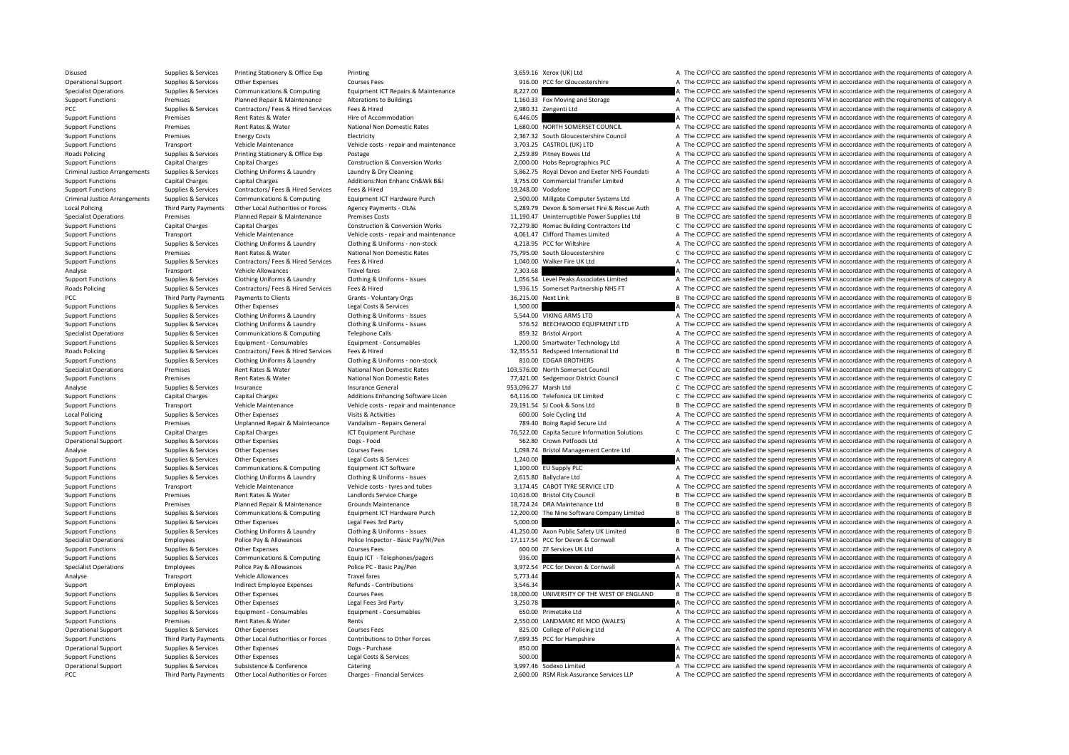Roads Policing Criminal JusticeCriminal Justice**Local Policing Roads Policing** PCC **Third Party Payments Roads Policing** Local Policing

Third Party Payments

Disused Supplies & Services Printing Stationery & Office Exp Printing Printing 3,659.16 Xerox (UK) Ltd A The CC/PCC are satisfied the spend represents VFM in accordance with the requirements of category A Operational Support Supplies & Services Other Expenses Courses Fees Courses Fees Services Courses Fees Services Courses Fees Services Courses Fees Services Courses Fees Services Courses Fees Services Courses Fees and the S A The CC/PCC are satisfied the spend represents VFM in accordance with the requirements of category A Support Functions Premises Planned Repair & Maintenance Alterations to Buildings 1,160.33 Fox Moving and Storage A The CC/PCC are satisfied the spend represents VFM in accordance with the requirements of category A The CC/ A The CC/PCC are satisfied the spend represents VFM in accordance with the requirements of category A Support Functions Premises Rent Rates & Water Hire of Accommodation Hire of Accommodation A The CC/PCC are satisfied the spend represents VFM in accordance with the requirements of category A Support Functions Premises Rent Rates & Water National Non Domestic Rates 1,680.00 NORTH SOMERSET COUNCIL A The CC/PCC are satisfied the spend represents VFM in accordance with the requirements of category A Support Functi Electricity energy Costs Energy Costs Energy Costs Energy Costs Energy Costs Energy Costs Energy Costs Energy Costs Energy Council A The CC/PCC are satisfied the spend represents VFM in accordance with the requirements of Support Functions Transport Vehicle Maintenance Vehicle costs - repair and maintenance 3,703.25 CASTROL (UK) LTD A The CC/PCC are satisfied the spend represents VFM in accordance with the requirements of category A Realty Policing Supplies & Services Printing Stationery & Office Exp Postage 2,259.89 Pitney Bowes Ltd A The CC/PCC are satisfied the spend represents VFM in accordance with the requirements of category A Support Functions Capital Charges Capital Charges Capital Charges Capital Charges Capital Charges Capital Charges Construction & Construction & Conversion Works 2,000.00 Hobs Reprographics PLC A The CC/PCC are satisfied th A The CC/PCC are satisfied the spend represents VFM in accordance with the requirements of category A Support Functions Capital Charges Capital Charges Additions:Non Enhanc Cn&Wk B&I 3,755.00 Commercial Transfer Limited A The CC/PCC are satisfied the spend represents VFM in accordance with the requirements of category A Su Support Functions Supplies & Services Contractors/ Fees & Hired Services Fees & Hired Services Fees & Hired Services Fees & Hired Services Fees & Hired Services Fees & Hired Services Fees & Hired Services Fees & Hired Serv Supplies & Services Communications & Computing Equipment ICT Hardware Purch 2,500.00 Millgate Computer Systems Ltd A The CC/PCC are satisfied the spend represents VFM in accordance with the requirements of category A Third Party Payments Other Local Authorities or Forces Agency Payments - OLAs 5,289.79 Devon & Somerset Fire & Rescue Auth A The CC/PCC are satisfied the spend represents VFM in accordance with the requirements of category Specialist Operations Premises Planned Repair & Maintenance Premises Costs 11,190.47 Uninterruptible Power Supplies Ltd B The CC/PCC are satisfied the spend represents VFM in accordance with the requirements of category Co Support Functions Capital Charges Capital Charges Capital Charges Construction & Conversion Works 72,279.80 Romac Building Contractors Ltd C The CC/PCC are satisfied the spend represents VFM in accordance with the requirem A The CC/PCC are satisfied the spend represents VFM in accordance with the requirements of category A Support Functions Supplies & Services Clothing Uniforms & Laundry Clothing & Uniforms ‐ non‐stock 4,218.95 PCC for Wiltshire A The CC/PCC are satisfied the spend represents VFM in accordance with the requirements of category A Support Functions Premises Premises Rent Rates & Water National Non Domestic Rates National Non Domestic Rates 75,795.00 South Gloucestershire C The CC/PCC are satisfied the spend represents VFM in accordance with the requ Support Functions Supplies & Services Contractors/ Fees & Hired Services Fees & Hired 1,040.00 Walker Fire UK Ltd A The CC/PCC are satisfied the spend represents VFM in accordance with the requirements of category A The Cr Analyse Transport Vehicle Allowances Travel fares Travel fares Travel fares and the requirements of category A The CC/PCC are satisfied the spend represents VFM in accordance with the requirements of category A Support Functions Supplies & Services Clothing Uniforms & Laundry Clothing & Uniforms - Issues Clothing American Contractors (Fees & Hired Structure 1995) a The CC/PCC are satisfied the spend represents VFM in accordance w Poplies & Services Contractors/ Fees & Hired Services Fees & Hired Hired Mexical The Services Fees & Hired Services Fees & Hired Incorpors Crategory A The CC/PCC are satisfied the spend represents VFM in accordance with th B The CC/PCC are satisfied the spend represents VFM in accordance with the requirements of category B Support Functions Supplies & Services Other Expenses Legal Costs & Services Legal Costs & Services Legal Costs & Services 2001 a The CC/PCC are satisfied the spend represents VFM in accordance with the requirements of cate Support Functions Supplies & Services Clothing Uniforms & Laundry Clothing & Uniforms ‐ Issues 5,544.00 VIKING ARMS LTD A The CC/PCC are satisfied the spend represents VFM in accordance with the requirements of category A Support Functions Supplies & Services Clothing Uniforms & Laundry Clothing & Uniforms - Issues States Support Clothing Uniforms A Laundry Clothing & Uniforms - Issues 576.52 BECHWOOD EQUIPMENT LTD A The CC/PCC are satisfie Specialist Operations Supplies & Services Communications & Computing Telephone Calls 859.32 Bristol Airport A The CC/PCC are satisfied the spend represents VFM in accordance with the requirements of category A Support Functions Supplies & Services Equipment - Consumables Equipment - Consumables Equipment - Consumables Equipment - Consumables Equipment - Consumables 1,200.00 Smartwater Technology Ltd A The CC/PCC are satisfied th Policing Supplies & Services Contractors/ Fees & Hired Services Fees & Hired 32,355.51 Redspeed International Ltd <sup>B</sup> The CC/PCC are satisfied the spend represents VFM in accordance with the requirements of category B Support Functions Supplies & Services Clothing Uniforms & Laundry Clothing & Uniforms - non-stock 810.00 EDGAR BROTHERS A The CC/PCC are satisfied the spend represents VFM in accordance with the requirements of category A Specialist Operations Premises Rent Rates & Water Mational Non Domestic Rates 103,576.00 North Somerset Council C The CC/PCC are satisfied the spend represents VFM in accordance with the requirements of category C<br>Support C. The CC/PCC are satisfied the spend represents VFM in accordance with the requirements of category C Analyse Supplies Services Insurance Insurance Services Insurance General Insurance General 953,096.27 Marsh Ltd C The CC/PCC are satisfied the spend represents VFM in accordance with the requirements of category C<br>Support C. The CC/PCC are satisfied the spend represents VFM in accordance with the requirements of category C Support Functions Transport Vehicle Maintenance Vehicle costs ‐ repair and maintenance 29,191.54 SJ Cook & Sons Ltd B The CC/PCC are satisfied the spend represents VFM in accordance with the requirements of category B Supplies & Services Other Expenses Visits & Activities Visits A Activities Company and A The CC/PCC are satisfied the spend represents VFM in accordance with the requirements of category A Support Functions Premises Unplanned Repair & Maintenance Vandalism - Repairs General 789.40 Boing Rapid Secure Ltd A The CC/PCC are satisfied the spend represents VFM in accordance with the requirements of category A Support Functions Capital Charges Capital Charges Capital Charges 1CT Equipment Purchase 10 Purchase 76,522.00 Capita Secure Information Solutions C The CC/PCC are satisfied the spend represents VFM in accordance with the Operational Support Supplies & Services Other Expenses Dogs - Food Dogs - Food Services Dogs + Food Services Dogs + Food Services Dogs + Food Services Dogs + Food Services Other Expenses Dogs + Food Supplies & Services Oth Analyse Supplies & Services Other Expenses Courses Fees Courses Fees 1,098.74 Bristol Management Centre Ltd A The CC/PCC are satisfied the spend represents VFM in accordance with the requirements of category A Support Functions Supplies & Services Other Expenses Legal Costs & Services Legal Costs & Services Category A The CC/PCC are satisfied the spend represents VFM in accordance with the requirements of category A Support Functions Supplies & Services Communications & Computing Equipment ICT Software 1,100.00 EU Supply PLC A The CC/PCC are satisfied the spend represents VFM in accordance with the requirements of category A Supplies Support Functions Supplies & Services Clothing Uniforms & Laundry Clothing & Uniforms - Issues 2,615.80 Ballyclare Ltd A The CC/PCC are satisfied the spend represents VFM in accordance with the requirements of category A Support Functions Transport Vehicle Maintenance Vehicle costs ‐ tyres and tubes 3,174.45 CABOT TYRE SERVICE LTD A The CC/PCC are satisfied the spend represents VFM in accordance with the requirements of category A Support Functions Premises Rent Rates & Water Landlords Service Charge 10,616.00 Bristol City Council B The CC/PCC are satisfied the spend represents VFM in accordance with the requirements of category B Support Functions Premises Planned Repair & Maintenance Maintenance Grounds Maintenance Purch 18,724.24 DRA Maintenance Ltd B The CC/PCC are satisfied the spend represents VFM in accordance with the requirements of categor B The CC/PCC are satisfied the spend represents VFM in accordance with the requirements of category B Support Functions Supplies & Services Other Expenses Legal Fees 3rd Party Legal Fees 3rd Party Support Category A The CC/PCC are satisfied the spend represents VFM in accordance with the requirements of category A Support Supplies & Services Clothing Uniforms & Laundry Clothing & Uniforms - Issues 41,250.00 Axon Public Safety UK Limited B The CC/PCC are satisfied the spend represents VFM in accordance with the requirements of category B Specialist Operations Employees Police Pay & Allowances Police Inspector - Basic Pay/NI/Pen 17,117.54 PCC for Devon & Cornwall B The CC/PCC are satisfied the spend represents VFM in accordance with the requirements of cate Support Functions Supplies & Services Other Expenses Courses Fees Courses Fees Courses Fees 600.00 ZF Services UK Ltd A The CC/PCC are satisfied the spend represents VFM in accordance with the requirements of category A Su Support Functions Supplies & Services Communications & Computing Faujo ICT - Telephones/pagers 936.00 936.00 A The CC/PCC are satisfied the spend represents VFM in accordance with the requirements of category A Specialist Operations Employees Police Pay & Allowances Police PC · Basic Pay/Pen 3,972.54 PCC for Devon & Cornwall A The CC/PCC are satisfied the spend represents VFM in accordance with the requirements of category A Analyse Transport Vehicle Allowances Travel fares Travel fares 5,773.44 5,773.44 A The CC/PCC are satisfied the spend represents VFM in accordance with the requirements of category A Support Employees Indirect Employee Expenses Refunds - Contributions and a state and a SAG.34 A The CC/PCC are satisfied the spend represents VFM in accordance with the requirements of category A Support Funds Contribution Support Functions Supplies & Services Other Expenses Courses Fees Courses Fees 18,000.00 UNIVERSITY OF THE WEST OF ENGLAND B The CC/PCC are satisfied the spend represents VFM in accordance with the requirements of category Support Functions Supplies & Services Other Expenses Legal Fees 3rd Party and the Support Consument Consumables Legal Fees 3rd Party 3,250.78 A The CC/PCC are satisfied the spend represents VFM in accordance with the requi A The CC/PCC are satisfied the spend represents VFM in accordance with the requirements of category A Support Functions Premises Premises Rent Rates & Water Rents Rents Rents Rents Rents Rents 2,550.00 LANDMARC RE MOD (WALES) A The CC/PCC are satisfied the spend represents VFM in accordance with the requirements of categor Operational Support of the CC/PCC are satisfied the spend represents VFM in accordance with the requirements of category A<br>2.699.35 PCC for Hampshire A The CC/PCC are satisfied the spend represents VFM in accordance with t Third Party Payments Other Local Authorities or Forces Contributions to Other Forces 7,699.35 PCC for Hampshire A The CC/PCC are satisfied the spend represents VFM in accordance with the requirements of category A Operational Support Supplies & Services Other Expenses Dogs - Purchase Dogs Purchase Dogs Purchase Dogs Purchase 850.00 A The CC/PCC are satisfied the spend represents VFM in accordance with the requirements of category A support Functions Supplies and Support Functions Constant Constant Constant Press Constants - A The CC/PCC are satisfied the spend represents VFM in accordance with the requirements of category A Operational Support Supplies & Services Subsistence & Conference Catering Catering Catering Catering 3,997.46 Sodexo Limited A The CC/PCC are satisfied the spend represents VFM in accordance with the requirements of catego A The CC/PCC are satisfied the spend represents VFM in accordance with the requirements of category A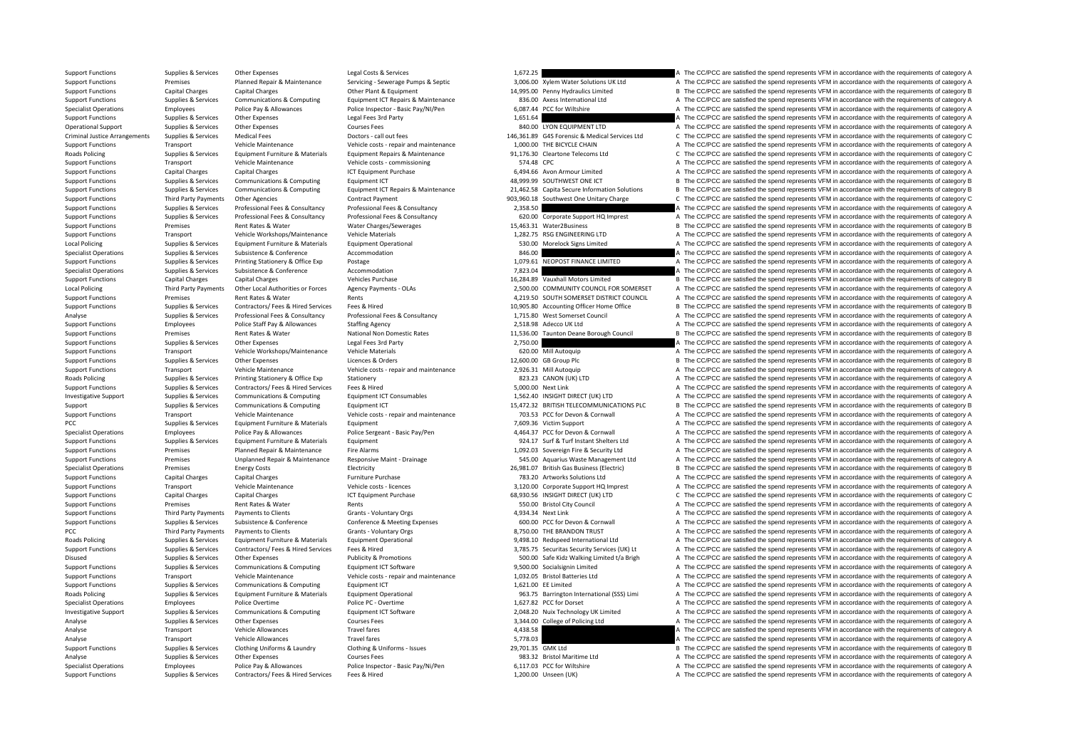Criminal Justice**Roads Policing** Local Policing **Local Policing** Roads Policing PCC Third Party Payments **Roads Policing Roads Policing** 

Support Functions Supplies & Services Other Expenses Legal Costs & Services Legal Costs & Services A The CC/PCC are satisfied the spend represents VFM in accordance with the requirements of category A Support Functions Premises Premises Planned Repair & Maintenance Servicing - Severage Pumps & Septic 3,000.00 Xylem Water Solutions UK Ltd A The CC/PCC are satisfied the spend represents VFM in accordance with the requirem B The CC/PCC are satisfied the spend represents VFM in accordance with the requirements of category B Support Functions Supplies & Services Communications & Computing Equipment ICT Repairs & Maintenance 336.00 Axess International Ltd A The CC/PCC are satisfied the spend represents VFM in accordance with the requirements of A The CC/PCC are satisfied the spend represents VFM in accordance with the requirements of category A Support Functions Supplies & Services Other Expenses Legal Fees 3rd Party Legal Fees 3rd Party 1,651.64 A The CC/PCC are satisfied the spend represents VFM in accordance with the requirements of category A Operational Support Supplies & Services Other Expenses Courses Fees Courses Fees Courses Fees 840.00 LYON EQUIPMENT LTD A The CC/PCC are satisfied the spend represents VFM in accordance with the requirements of category A C The CC/PCC are satisfied the spend represents VFM in accordance with the requirements of category C Support Functions Transport Vehicle Maintenance Vehicle costs - repair and maintenance 1,000.00 THE BICYCLE CHAIN A The CC/PCC are satisfied the spend represents VFM in accordance with the requirements of category A Rachae Supplies & Services Equipment Furniture & Materials Equipment Repairs & Maintenance 91,176.30 Cleartone Telecoms Ltd C The CC/PCC are satisfied the spend represents VFM in accordance with the requirements of category C Support Functions Transport Vehicle Maintenance Vehicle costs – commissioning 574.48 CPC 574.48 CPC Support Team and the CC/PCC are satisfied the spend represents VFM in accordance with the requirements of category A Suppo A The CC/PCC are satisfied the spend represents VFM in accordance with the requirements of category A Support Functions Supplies & Services Communications & Computing Equipment ICT **angive Equipment ICT** Applies are all the service are satisfied the spend represents VFM in accordance with the requirements of category B Com Support Eugenias & Support Consuming Support Communications & Communications Communications Communications Communications Communications Communications Communications Communications Communications Communications Communicat Support Functions Third Party Payments Other Agencies Contract Payment Contract Payment 903,960.18 Southwest One Unitary Charge C The CC/PCC are satisfied the spend represents VFM in accordance with the requirements of cat Support Functions Supplies & Services Professional Fees & Consultancy Professional Fees & Consultancy Professional Fees & Consultancy Professional Fees & Consultancy Professional Fees & Consultancy Professional Fees & Cons Sunnot Eurotions Sunnities & Services Professional Fees & Consultancy Professional Fees & Consultancy Professional Fees & Consultancy Professional Fees & Consultancy Professional Fees & Consultancy Professional Fees & Cons Support Functions Premises Premises Alect Rates & Water Water Charges/Sewerages 15,463.31 Water2Business B The CC/PCC are satisfied the spend represents VFM in accordance with the requirements of category B Support Functio A The CC/PCC are satisfied the spend represents VFM in accordance with the requirements of category A Policing Supplies & Services Equipment Furniture & Materials Equipment Operational Supplies are the Saching Supplies A The CC/PCC are satisfied the spend represents VFM in accordance with the requirements of category A Sup Specialist Operations Supplies & Services Subsistence 8 Conference Accommodation and a Services Accommodation and a The CC/PCC are satisfied the spend represents VFM in accordance with the requirements of category A Support Functions Supplies & Services Printing Stationery & Office Exp Postage Postage 1,079.61 NEOPOST FINANCE LIMITED A The CC/PCC are satisfied the spend represents VFM in accordance with the requirements of category A Specialist Operations Supplies & Services Subsistence & Conference Accommodation a many category and a many category A The CC/PCC are satisfied the spend represents VFM in accordance with the requirements of category A Support Functions Capital Charges Capital Charges Capital Charges Vehicles Purchase Vehicles Purchase 16,284.89 Vauxhall Motors Limited B The CC/PCC are satisfied the spend represents VFM in accordance with the requirement Local Policing Third Party Payments Other Local Authorities or Forces Agency Payments - OLAs 2,500.00 COMMUNITY COUNCIL FOR SOMERSET A The CC/PCC are satisfied the spend represents VFM in accordance with the requirements o A The CC/PCC are satisfied the spend represents VFM in accordance with the requirements of category A Support Functions Supplies & Services Contractors/Fees & Hired Services Fees & Hired Fees Revies Fees & Hired<br>Analyse Support English Support of the requirements of category B and the services of category B analyse Support Analyse Supplies & Services Professional Fees & Consultancy Professional Fees & Consultancy Professional Fees & Consultancy Professional Fees & Consultancy Professional Fees & Consultancy A The CC/PCC are satisfied the spe Support Functions Employees Police Staff Pay & Allowances Staffing Agency Staff Pay Agency 2,518.98 Adecco UK Ltd A The CC/PCC are satisfied the spend represents VFM in accordance with the requirements of category A Suppor Premises Rent Rates & Water National Non Domestic Rates 11,536.00 Taunton Deane Borough Council B The CC/PCC are satisfied the spend represents VFM in accordance with the requirements of category B Support Functions Supplies & Services Other Expenses Legal Fees 3rd Party Legal Fees 3rd Party 2,750.00 A The CC/PCC are satisfied the spend represents VFM in accordance with the requirements of category A Support Function Support Functions Transport Vehicle Workshops/Maintenance Vehicle Materials 620.00 Mill Autoquip A The CC/PCC are satisfied the spend represents VFM in accordance with the requirements of category A Support Functions Supplies & Services Other Expenses Licences & Orders Creation Check Creation of the COLOGIC CORD on the COLOGIC Are satisfied the spend represents VFM in accordance with the requirements of category B Veh Support Functions Transport Vehicle Maintenance Vehicle costs - repair and maintenance 2,926.31 Mill Autoquip A The CC/PCC are satisfied the spend represents VFM in accordance with the requirements of category A Realism A Stationery **Experiments of COFFICE A The CC/PCC** are satisfied the spend represents VFM in accordance with the requirements of category A Support Functions Supplies & Services Contractors/ Fees & Hired Services Fees & Hired Fees & Hired Services Fees & Hired Services Fees & Hired Services Fees & Hired Services Fees & Hired Services Fees & Hired Services Serv Investigative Sunnort Sunnias & Services Communications & Computing Foundment ICT Consumables 1.562.40 INSIGHT DIRECT (UK) LTD A The CC/PCC are satisfied the spend represents VFM in accordance with the requirements of cate Support Supplies & Services Communications & Computing Equipment ICT 15,472.32 BRITISH TELECOMMUNICATIONS PLC B The CC/PCC are satisfied the spend represents VFM in accordance with the requirements of category B Support Functions Transport Vehicle Maintenance Vehicle costs - repair and maintenance 703.53 PCC for Devon & Cornwall A The CC/PCC are satisfied the spend represents VFM in accordance with the requirements of category A P Supplies & Services Equipment Furniture & Materials Equipment 1999.16 Produce 2009.26 Victim Support 7,609.36 Victim Support A The CC/PCC are satisfied the spend represents VFM in accordance with the requirements of catego Specialist Operations Employees Police Pay & Allowances Police Sergeant - Basic Pay/Pen 4,464.37 PCC for Devon & Cornwall A The CC/PCC are satisfied the spend represents VFM in accordance with the requirements of category Support Functions Supplies & Services Equipment Furniture & Materials Equipment experies Equipment 924.17 Surf & Turf Instant Shelters Ltd A The CC/PCC are satisfied the spend represents VFM in accordance with the requirem Premises Planned Repair & Maintenance Fire Alarms and Manusculing a the CC/PCC are satisfied the spend represents VFM in accordance with the requirements of category A Support Functions Premises Unplanned Repair & Maintenance Responsive Maint - Drainage 545.00 Aquarius Waste Management Ltd A The CC/PCC are satisfied the spend represents VFM in accordance with the requirements of category Specialist Operations Premises Premises Energy Costs Electricity Electricity Electricity 26,981.07 British Gas Business (Electricity Business Electricity and The CC/PCC are satisfied the spend represents VFM in accordance Capital Charges Capital Charges Furniture Purchase Capital Charges Tables 783.20 Artworks Solutions Ltd A The CC/PCC are satisfied the spend represents VFM in accordance with the requirements of category A Support Functions Transport Vehicle Maintenance Vehicle costs - licences 3,120.00 Corporate Support HQ Imprest A The CC/PCC are satisfied the spend represents VFM in accordance with the requirements of category A Support F Support Functions Capital Charges Capital Charges Capital Charges ICT Equipment Purchase 68,930.56 INSIGHT DIRECT (UK) LTD C The CC/PCC are satisfied the spend represents VFM in accordance with the requirements of category Support Functions Premises Premises Rent Rates & Water Rents Rents Rents Rents Rents Rents Rents Rents Rents Rents Rent Rents Rents Council A The CC/PCC are satisfied the spend represents VFM in accordance with the require A The CC/PCC are satisfied the spend represents VFM in accordance with the requirements of category A Support Functions Supplies & Services Subsistence & Conference Conference Conference & Meeting Expenses 600.00 PCC for Devon & Cornwall A The CC/PCC are satisfied the spend represents VFM in accordance with the requirement Payments to Clients Crants Foluntary Orgs Crants Crants Cranes of Crants Cranes and Developments of category A The CC/PCC are satisfied the spend represents VFM in accordance with the requirements of category A Supplies & Services Equipment Furniture & Materials Equipment Operational A Supplies are set and the CC/PCC are satisfied the spend represents VFM in accordance with the requirements of category A Supplies & Services Contractors/ Fees & Hired Services Fees & Hired Contractors Fees & Hired Services Fees & Hired Services Fees & Hired Services Services Supplies and the CO/PCC are satisfied the spend represents VFM in a Disused Supplies & Services Other Expenses Publicity & Promotions Publicity & Promotions 500.00 Safe Kidz Walking Limited t/a Brigh A The CC/PCC are satisfied the spend represents VFM in accordance with the requirements of Support Functions Supplies & Services Communications & Computing Equipment ICT Software 9,500.00 Socialsignin Limited A The CC/PCC are satisfied the spend represents VFM in accordance with the requirements of category A Support Functions Transport Vehicle Maintenance Vehicle costs ‐ repair and maintenance 1,032.05 Bristol Batteries Ltd A The CC/PCC are satisfied the spend represents VFM in accordance with the requirements of category A Support Functions Supplies & Services Communications & Computing Equipment ICT and the Services Computing Equipment ICT 1,621.00 EE Limited 1,621.00 EE Limited A The CC/PCC are satisfied the spend represents VFM in accorda Supplies & Services Foulioment Furniture & Materials Foulioment Operational Contained the Supplies of the Supplies of the COPCC are satisfied the spend represents VFM in accordance with the requirements of category A Specialist Operations Employees Police Overtime Police PC - Overtime Police PC - Overtime Police PC - Overtime<br>1,627.82 PCC for Dorset A The CC/PCC are satisfied the spend represents VFM in accordance with the requirements A The CC/PCC are satisfied the spend represents VFM in accordance with the requirements of category A Analyse Supplies & Services Other Expenses Courses Fees Courses Fees 3,344.00 College of Policing Ltd A The CC/PCC are satisfied the spend represents VFM in accordance with the requirements of category A Courses Travel far Analyse Transport Vehicle Allowances Travel fares Travel fares 4,438.58 A The CC/PCC are satisfied the spend represents VFM in accordance with the requirements of category A The Analyse Transport Vehicle Allowances Travel Analyse Transport Vehicle Allowances Travel fares Travel fares 5,778.03 A The CC/PCC are satisfied the spend represents VFM in accordance with the requirements of category A Support Functions Supplies & Services Clothing Uniforms & Laundry Clothing & Uniforms - Issues 29,701.35 GMK Ltd B The CC/PCC are satisfied the spend represents VFM in accordance with the requirements of category B Courses Analyse Supplies & Services Other Expenses Courses Fees Courses Fees 983.32 Bristol Maritime Ltd A The CC/PCC are satisfied the spend represents VFM in accordance with the requirements of category A Specialist Operations Employees Police Pay & Allowances Police Inspector - Basic Pay/Ni/Pen 6,117.03 PCC for Wiltshire A The CC/PCC are satisfied the spend represents VFM in accordance with the requirements of category A S A The CC/PCC are satisfied the spend represents VFM in accordance with the requirements of category A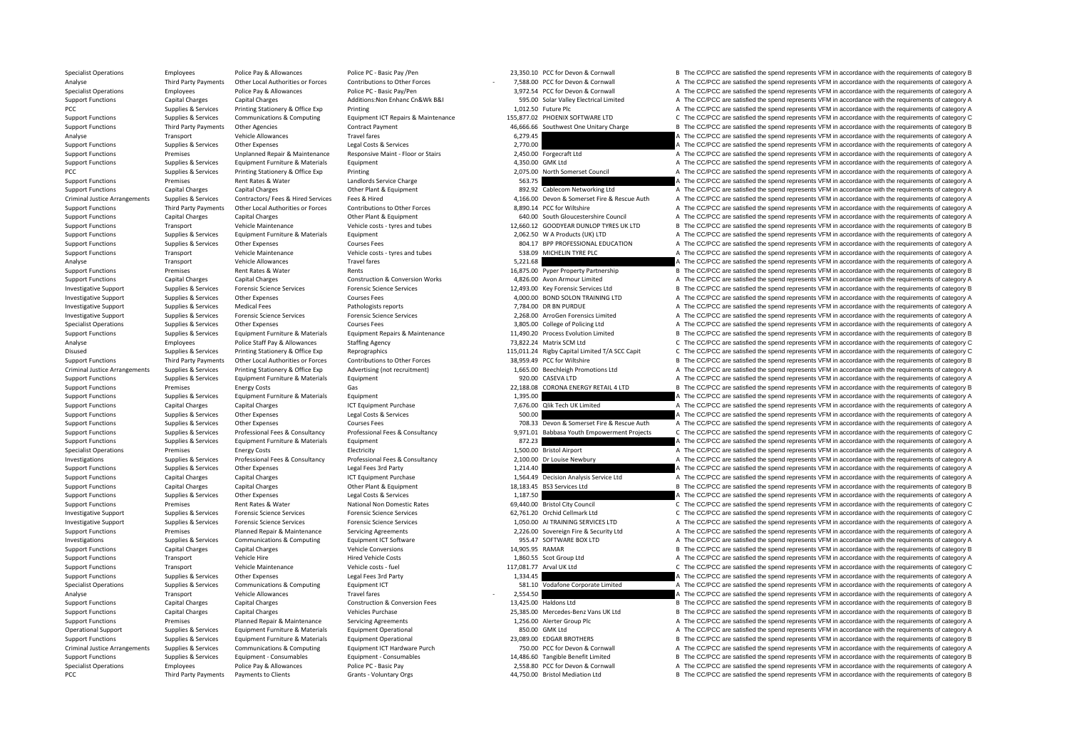Criminal JusticeCriminal JusticeCriminal Justice Third Party Payments

Specialist Operations Employees Police Pay & Allowances Police PC · Basic Pay /Pen 23,350.10 PCC for Devon & Cornwall B The CC/PCC are satisfied the spend represents VFM in accordance with the requirements of category B Third Party Payments Other Local Authorities or Forces Contributions to Other Forces - 7,588.00 PCC for Devon & Commall American Controlled a The CC/PCC are satisfied the spend represents VFM in accordance with the require A The CC/PCC are satisfied the spend represents VFM in accordance with the requirements of category A Support Functions Capital Charges Capital Charges Additions:Non Enhanc Cn&Wk B&I 595.00 Solar Valley Electrical Limited A The CC/PCC are satisfied the spend represents VFM in accordance with the requirements of category A Supplies A Services Printing Stationery & Office Exp Printing Printing 1,012.50 Future Plc A The CC/PCC are satisfied the spend represents VFM in accordance with the requirements of category A Support Functions Supplies & Services Communications & Computing Equipment ICT Repairs & Maintenance 155,877.02 PHOENIX SOFTWARE LTD CThe CC/PCC are satisfied the spend represents VFM in accordance with the requirements of Support Functions Third Party Payments Other Agencies Contract Payment Contract Payment 46,666.66 Southwest One Unitary Charge B The CC/PCC are satisfied the spend represents VFM in accordance with the requirements of cate Analyse Transport Vehicle Allowances Travel fares Travel fares and the content of the CC/PCC are satisfied the spend represents VFM in accordance with the requirements of category A Support Functions Supplies & Services Other Expenses Legal Costs & Services 2,770.00 A The CC/PCC are satisfied the spend represents VFM in accordance with the requirements of category A Support Functions 2,450.00 Experime Support Functions Premises Unplanned Repair & Maintenance Responsive Maint - Floor or Stairs 2,450.00 Forgecraft Ltd A The CC/PCC are satisfied the spend represents VFM in accordance with the requirements of category A Support Functions Supplies & Services Equipment Furniture & Materials Equipment Equipment Functions Equipment A The CC/PCC are satisfied the spend represents VFM in accordance with the requirements of category A The CC/PCC Printing Council Council A The CC/PCC are satisfied the spend represents VFM in accordance with the requirements of category A Support Functions Premises Premises Rent Rates & Water Landlords Service Charge Support Category A The CC/PCC are satisfied the spend represents VFM in accordance with the requirements of category A Capital Charges Capital Support Functions Capital Charges Capital Charges Capital Charges Other Plant & Equipment 892.92 Cablecom Networking Ltd A The CC/PCC are satisfied the spend represents VFM in accordance with the requirements of category A Supplies & Services Contractors/ Fees & Hired Services Fees & Hired Material Matery 2016.00 Devon & Somerset Fire & Rescue Auth A The CC/PCC are satisfied the spend represents VFM in accordance with the requirements of cat Support Functions and the COPCC are satisfied the spend represents VFM in accordance with the requirements of category A The COPCC are satisfied the spend represents VFM in accordance with the requirements of category A Co Support Functions Capital Charges Capital Charges Capital Charges Other Plant & Founcement 640.00 South Gloucestershire Council A The CC/PCC are satisfied the spend represents VFM in accordance with the requirements of cat Support Functions Transport Vehicle Maintenance Vehicle costs - tyres and tubes 12,660.12 GOODYEAR DUNLOP TYRES UK LTD B The CC/PCC are satisfied the spend represents VFM in accordance with the requirements of category B S A The CC/PCC are satisfied the spend represents VFM in accordance with the requirements of category A Support Functions Supplies & Services Other Expenses Courses Fees Courses Fees Courses Fees 804.17 BPP PROFESSIONAL EDUCATION A The CC/PCC are satisfied the spend represents VFM in accordance with the requirements of categ Support Functions Transport Vehicle Maintenance Vehicle costs – tyres and tubes 538.09 MICHELIN TYRE PLC A The CC/PCC are satisfied the spend represents VFM in accordance with the requirements of category A Analyse Transport Vehicle Allowances Travel fares Travel fares 5,221.68 A The CC/PCC are satisfied the spend represents VFM in accordance with the requirements of category A Sents are allow the requirements of category A S Support Functions Premises Rent Rates & Water Rents 16,875.00 Pyper Property Partnership B The CC/PCC are satisfied the spend represents VFM in accordance with the requirements of category B Support Functions Capital Charges Capital Charges Capital Charges Construction & Conversion Works 4,826.00 Avon Armour Limited A The CC/PCC are satisfied the spend represents VFM in accordance with the requirements of cate Investigative Support Supplies & Services Forensic Science Services Forensic Science Services Forensic Science Services Forensic Science Services exerics and the Support of Supplies & Services Forensic Science Services For A The CC/PCC are satisfied the spend represents VFM in accordance with the requirements of category A Investigative Support Supplies & Services Medical Fees Pathologists reports Pathologists reports Pathologists reports 7,784.00 DR BN PURDUE A The CC/PCC are satisfied the spend represents VFM in accordance with the require Investigative Support Supplies & Services Forensic Science Services Forensic Science Services 2,268.00 ArroGen Forensics Limited A The CC/PCC are satisfied the spend represents VFM in accordance with the requirements of category A Specialist Operations Supplies & Services Other Expenses Courses Fees Courses Fees 3,805.00 College of Policing Ltd A The CC/PCC are satisfied the spend represents VFM in accordance with the requirements of category A Supp Suppliers & Services Foundance Foundance Foundance Fundance Foundance The COPC are satisfied the spend represents VFM in accordance with the requirements of category B. Analyse Employees Police Staff Pay & Allowances Staffing Agency 73,822.24 Matrix SCM Ltd C The CC/PCC are satisfied the spend represents VFM in accordance with the requirements of category C<br>215,011.24 Rigby Capital Limite Disused Supplies & Services Printing Stationery & Office Exp Reprographics Reprographics 115,011.24 Rigby Capital Limited T/A SCC Capit C The CC/PCC are satisfied the spend represents VFM in accordance with the requirement Support Functions Third Party Payments Other Local Authorities or Forces Contributions to Other Forces Contributions to Other Forces 38.959.49 PCC for Willshire B The CC/PCC are satisfied the spend represents VFM in accord Supplies & Services Printing Stationery & Office Exp Advertising (not recruitment) 1,665.00 Beechleigh Promotions Ltd A The CC/PCC are satisfied the spend represents VFM in accordance with the requirements of category A an Support Functions Supplies & Services Faultoment Functions A Materials Foutboned Functions Equipment 920.00 CASEVA LTD A The CC/PCC are satisfied the spend represents VFM in accordance with the requirements of category A Support Functions Premises Premises Energy Costs Gas Gas Costs Gas 22,188.08 CORONA ENERGY RETAIL 4 LTD B The CC/PCC are satisfied the spend represents VFM in accordance with the requirements of category B<br>Support Function Support Functions Supplies & Services Equipment Furniture & Materials Equipment 1,395.00 A The CC/PCC are satisfied the spend represents VFM in accordance with the requirements of category A Support Functions Capital Charges Capital Charges Capital Charges ICT Equipment Purchase 1CT Equipment Purchase 7,676.00 Qlik Tech UK Limited A The CC/PCC are satisfied the spend represents VFM in accordance with the requi Support Functions Supplies & Services Other Expenses Legal Costs & Services Legal Costs & Services Costs & Services 500.00 A The CC/PCC are satisfied the spend represents VFM in accordance with the requirements of category Support Functions Supplies & Services Other Expenses Courses Fees Courses Fees 708.33 Devon & Somerset Fire & Rescue Auth A The CC/PCC are satisfied the spend represents VFM in accordance with the requirements of category Support Functions Supplies & Services Professional Fees & Consultancy Professional Fees & Consultancy Professional Fees & Consultancy Professional Fees & Consultancy Supplies & Services Professional Fees & Consultancy Prof Support Functions Supplies & Services Equipment Furniture & Materials Equipment Equipment Equipment Equipment Butchicity and the STALES A The CC/PCC are satisfied the spend represents VFM in accordance with the requirement Electricity **Exergistions Premises A The CC/PCC** are satisfied the spend represents VFM in accordance with the requirements of category A Supplies & Services Professional Fees & Consultancy Professional Fees & Consultancy Professional Fees & Consultancy Professional Fees & Consultancy Professional Fees & Consultancy Professional Fees & Consultancy Profession Support Functions Supplies & Services Other Expenses Legal Fees 3rd Party 1,214.40 A The CC/PCC are satisfied the spend represents VFM in accordance with the requirements of category A Content of category A The CC/PCC are Support Functions Capital Charges Capital Charges ICT Equipment Purchase 1,564.49 Decision Analysis Service Ltd A The CC/PCC are satisfied the spend represents VFM in accordance with the requirements of category A Support Functions Capital Charges Capital Charges Other Plant & Equipment 18,183.45 BS3 Services Ltd B The CC/PCC are satisfied the spend represents VFM in accordance with the requirements of category B Support Functions Supplies & Services Other Expenses Legal Costs & Services Legal Costs & Services Costs & Services 1,187.50 A The CC/PCC are satisfied the spend represents VFM in accordance with the requirements of catego Support Functions Premises Premises Anter Rent Rates Avater National Non Domestic Rates 69,440.00 Bristol City Council C The CC/PCC are satisfied the spend represents VFM in accordance with the requirements of category C I C The CC/PCC are satisfied the spend represents VFM in accordance with the requirements of category C Investigative Support Supplies & Services Forensic Science Services Forensic Science Services Forensic Science Services Forensic Science Services (Particle Services 1,050.00 ALTRAINING SERVICES LTD A The CC/PCC are satisfi Support Functions Premises Planned Repair & Maintenance Servicing Agreements 2,226.00 Sovereign Fire & Security Ltd A The CC/PCC are satisfied the spend represents VFM in accordance with the requirements of category A Investigations Supplies & Services Communications & Computing Equipment ICT Software 955.47 SOFTWARE BOX LTD A The CC/PCC are satisfied the spend represents VFM in accordance with the requirements of category A Support Functions Capital Charges Capital Charges Vehicle Conversions Vehicle Conversions 14,905.95 RAMAR B The CC/PCC are satisfied the spend represents VFM in accordance with the requirements of category B Support Functi Support Functions Transport Vehicle Hire Hired Vehicle Costs 1,860.55 Scot Group Ltd A The CC/PCC are satisfied the spend represents VFM in accordance with the requirements of category A Support Transport Vehicle Maintenance Vehicle costs - fuel vehicle costs - fuel 117,081.77 Arval UK Ltd C The CC/PCC are satisfied the spend represents VFM in accordance with the requirements of category C Support Functions Supplies & Services Other Expenses Legal Fees 3rd Party Legal Fees 3rd Party 1,334.45 A The CC/PCC are satisfied the spend represents VFM in accordance with the requirements of category A Specialist Operations Supplies & Services Communications & Computing Equipment ICT 581.10 Vodafone Corporate Limited A The CC/PCC are satisfied the spend represents VFM in accordance with the requirements of category A The Analyse Transport Vehicle Allowances Travel fares Travel fares 2,554.50 **1999 A** The CC/PCC are satisfied the spend represents VFM in accordance with the requirements of category A Support Functions Capital Charges Capital Charges Capital Charges Capital Charges Capital Charges Capital Charges Capital Charges Capital Charges Construction & Conversion Fees 13,425.00 Haldons Ltd B The CC/PCC are satisf B The CC/PCC are satisfied the spend represents VFM in accordance with the requirements of category B Support Functions Premises Planned Repair & Maintenance Servicing Agreements 1,256.00 Alerter Group Plc A The CC/PCC are satisfied the spend represents VFM in accordance with the requirements of category A Creational Derat Opplies & Services Equipment Furniture & Materials Equipment Operational 850.00 GMK Ltd BEOVEC are Satisfied the spend represents VFM in accordance with the requirements of category A Support of the Support of category A T Support Functions Supplies & Services Equipment Furniture & Materials Equipment Operational Equipment Operational 23,089.00 EDGAR BROTHERS B The CC/PCC are satisfied the spend represents VFM in accordance with the requirem Arrangements Supplies & Services Communications & Computing Equipment ICT Hardware Purch 750.00 PCC for Devon & Cornwall A The CC/PCC are satisfied the spend represents VFM in accordance with the requirements of category A B The CC/PCC are satisfied the spend represents VFM in accordance with the requirements of category B Specialist Operations Employees Police Pay & Allowances Police PC · Basic Pay Police Pay 2,558.80 PCC for Devon & Cornwall A The CC/PCC are satisfied the spend represents VFM in accordance with the requirements of category B The CC/PCC are satisfied the spend represents VFM in accordance with the requirements of category B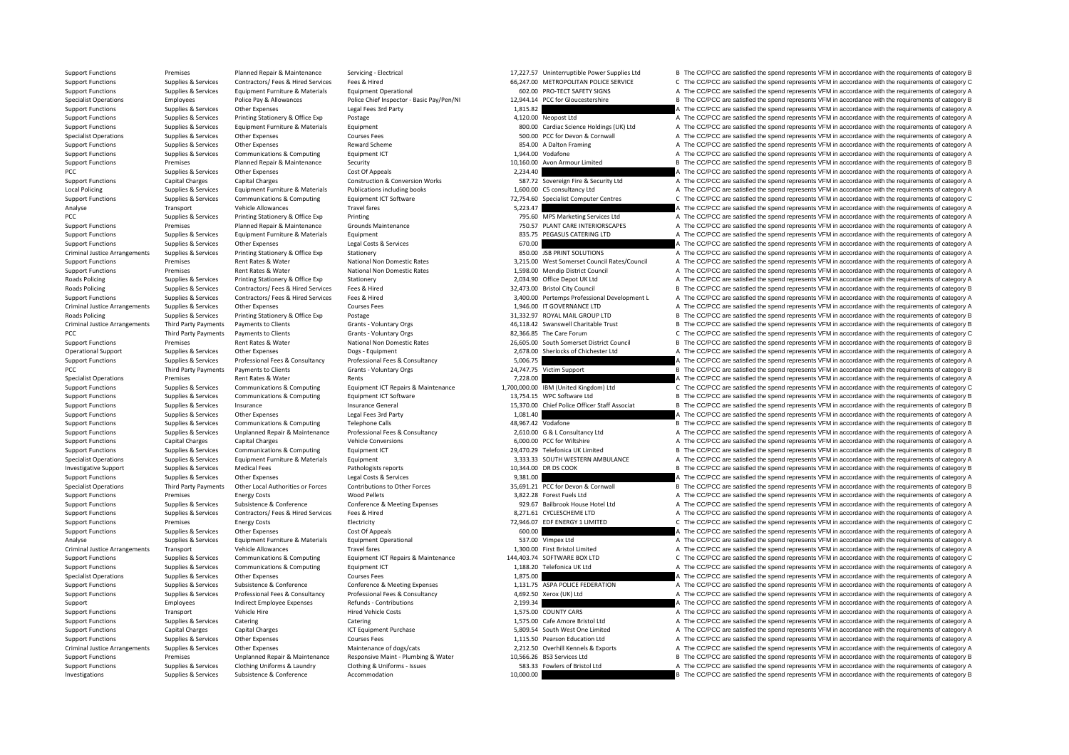Local Policing Criminal JusticeRoads**Roads Policing** Criminal Justice**Roads Policing** Criminal Justice**PCC** Third Party Payments PCC Third Party Payments Criminal JusticeCriminal Justice

Support Functions Premises Premises Planned Repair & Maintenance Servicing - Electrical Support and the Support Basisman and the CC/PCC are satisfied the spend represents VFM in accordance with the requirements of category Support Functions Supplies & Services Contractors/ Fees & Hired Services Fees & Hired Fees A Hired Fees A Hired Fees A Hired Fees A Hired Fees A Hired Fees A Hired Fees A Hired Fees A Hired Fees A Hired Fees A Hired Fees A A The CC/PCC are satisfied the spend represents VFM in accordance with the requirements of category A Specialist Operations Employees Police Pay & Allowances Police Chef Inspector - Basic Pay/Pen/NI 12,944.14 PCC for Gloucestershire Basic Pay/PC are satisfied the spend represents VFM in accordance with the requirements of Support Functions Supplies & Services Other Expenses Legal Fees 3rd Party 1,815.82 A The CC/PCC are satisfied the spend represents VFM in accordance with the requirements of category A Support Functions Supplies & Services Printing Stationery & Office Exp Postage Printing Stationery & Office Exp Postage and A The CC/PCC are satisfied the spend represents VFM in accordance with the requirements of categor Support Functions Supplies & Services Equipment Furniture & Materials Equipment Equipment Support Equipment Equipment Equipment Equipment Supplies are equirements of category A The CC/PCC are satisfied the spend represents Specialist Operations Supplies & Services Other Expenses Courses Fees 500.00 PCC for Devon & Cornwall A The CC/PCC are satisfied the spend represents VFM in accordance with the requirements of category A Support Functions Supplies & Services Other Expenses Reward Scheme Reward Scheme 854.00 A Dalton Framing A The CC/PCC are satisfied the spend represents VFM in accordance with the requirements of category A Supplies & Serv Support Functions Supplies & Services Communications & Computing Equipment ICT 1,944.00 Vodafone A The CC/PCC are satisfied the spend represents VFM in accordance with the requirements of category A Support Functions Premises Planned Repair & Maintenance Security Security Security 10,160.00 Avon Armour Limited B The CC/PCC are satisfied the spend represents VFM in accordance with the requirements of category B Cost Of PCC/PCC are satisfied the spend represents VFM in accordance with the requirements of category A<br>P The CC/PCC are satisfied the spend represents VFM in accordance with the requirements of category A Support Functions Capital Charges Capital Charges Capital Charges Construction & Conversion Works 587.72 Sovereign Fire & Security Ltd A The CC/PCC are satisfied the spend represents VFM in accordance with the requirements Policing Supplies & Services Equipment Furniture & Materials Publications including books 1,600.00 C5 consultancy Ltd A The CC/PCC are satisfied the spend represents VFM in accordance with the requirements of category A Support Functions Supplies & Services Communications & Computing Equipment ICT Software Equipment ICT Software 72,754.60 Specialist Computer Centres Computer Centres Computer Detailst Computer Detailst Computer Detailst Co Analyse Transport Vehicle Allowances Travel fares Travel fares 5,223.47 A The CC/PCC are satisfied the spend represents VFM in accordance with the requirements of category A The CC/PCC are satisfied the spend represents VF PCC Supplies Services Printing Stationery & Office Exp Printing 2001 2001 2006 Marketing Services Ltd A The CC/PCC are satisfied the spend represents VFM in accordance with the requirements of category A The CC/PCC are sat Support Functions Premises Planned Repair & Maintenance Grounds Maintenance Coronds Maintenance 750.57 PLANT CARE INTERIORSCAPES A The CC/PCC are satisfied the spend represents VFM in accordance with the requirements of ca A The CC/PCC are satisfied the spend represents VFM in accordance with the requirements of category A Support Functions Supplies & Services Other Expenses Legal Costs & Services Legal Costs & Services Legal Costs & Services 670.00 Criminal Costs Control of Control of Costs and the CC/PCC are satisfied the spend represents Arrangements Supplies & Services Printing Stationery & Office Exp Stationery 850.00 JSB PRINT SOLUTIONS A The CC/PCC are satisfied the spend represents VFM in accordance with the requirements of category A Support Functions Premises Rent Rates & Water National Non Domestic Rates 3,215.00 West Somerset Council Rates/Council A The CC/PCC are satisfied the spend represents VFM in accordance with the requirements of category A Support Functions Premises Rent Rates & Water National Non Domestic Rates 1,598.00 Mendip District Council A The CC/PCC are satisfied the spend represents VFM in accordance with the requirements of category A Supplies & Services Printing Stationery & Office Exp Stationery 2,034.90 Office Depot UK Ltd A The CC/PCC are satisfied the spend represents VFM in accordance with the requirements of category A Roads Policing Supplies & Services Contractors/ Fees & Hired Fees & Hired Services Fees & Hired 32,473.00 Bristol City Council B The CC/PCC are satisfied the spend represents VFM in accordance with the requirements of cate A The CC/PCC are satisfied the spend represents VFM in accordance with the requirements of category A Arrangements Supplies Arrangements Courses Fees Courses Fees 2017 Courses Courses Courses Fees 2017 1,946.00 IT GOVERNANCE LTD A The CC/PCC are satisfied the spend represents VFM in accordance with the requirements of cate Supplies & Services Printing Stationery & Office Exp Postage 31,332.97 ROYAL MAIL GROUP LTD B The CC/PCC are satisfied the spend represents VFM in accordance with the requirements of category B Third Party Payments Third Payments to Clients Cranks - Voluntary Orgs 46,118.42 Swanswell Charitable Trust B The CC/PCC are satisfied the spend represents VFM in accordance with the requirements of category B<br>Third Party Payments to Clients Grants - Voluntary Orgs 62,366.85 The Care Forum C The CC/PCC are satisfied the spend represents VFM in accordance with the requirements of category C Support Functions Premises Premises Rent Rates & Water National Non Domestic Rates 26,605.00 South Somerset District Council B The CC/PCC are satisfied the spend represents VFM in accordance with the requirements of catego Operational Support Supplies & Services Other Expenses Dogs - Equipment Dogs - Equipment 2,678.00 Sherlocks of Chichester Ltd A The CC/PCC are satisfied the spend represents VFM in accordance with the requirements of categ Support Functions Supplies & Services Professional Fees & Consultancy Professional Fees & Consultancy Professional Fees & Consultancy Professional Fees & Consultancy Professional Fees & Consultancy Professional Fees & Cons Third Party Payments **Payments to Clients** Grants Crants - Voluntary Orgs 24,747.75 Victim Support B The CC/PCC are satisfied the spend represents VFM in accordance with the requirements of category B<br>Premises and the cri Specialist Operations Premises Rent Rates & Water Rents Rents Rents Rents Rents Rent Rates Rent Rates Rent Rates Rent Rates Rents Rents Rents Rents Rents Rent Rates Rents Rents Rent Rates Rent Rates Rents Rent Rates Rent R Support Functions Supplies & Services Communications & Computing Equipment ICT Repairs & Maintenance 1,700,000.00 IBM (United Kingdom) Ltd CCPCC are satisfied the spend represents VFM in accordance with the requirements of Support Functions Supplies & Services Communications & Communications Equipment ICT Software 13,754.15 WPC Software Ltd B The CC/PCC are satisfied the spend represents VFM in accordance with the requirements of category B Support Functions Supplies & Services Insurance Insurance Insurance General Insurance General 15,370.00 Chief Police Officer Staff Associat B The CC/PCC are satisfied the spend represents VFM in accordance with the require Support Functions Supplies & Services Other Expenses Legal Fees 3rd Party Legal Fees 3rd Party 1,081.40 A The CC/PCC are satisfied the spend represents VFM in accordance with the requirements of category A Support Functions Supplies & Services Communications & Computing Telephone Calls 48,967.42 Vodafone B The CC/PCC are satisfied the spend represents VFM in accordance with the requirements of category B Supplies & Services Unplanned Repair & Maintenance Professional Fees & Consultancy consultancy 2,610.00 G & L Consultancy Ltd A The CC/PCC are satisfied the spend represents VFM in accordance with the requirements of categ Support Functions Capital Charges Capital Charges Capital Charges Vehicle Conversions Vehicle Conversions Vehicle Conversions 6,000.00 PCC for Wiltshire A The CC/PCC are satisfied the spend represents VFM in accordance wit B The CC/PCC are satisfied the spend represents VFM in accordance with the requirements of category B Specialist Operations Supplies & Services Equipment Furniture & Materials Equipment Services Equipment Supplies & Services Medical Fees Materials Equipment Purniture and Purniture and Deproduce and the services and the pat Investigative Support Supplies & Services Medical Fees Pathologists reports Pathologists reports 10,344.00 DR DS COOK B The CC/PCC are satisfied the spend represents VFM in accordance with the requirements of category B Se Support Functions Supplies & Services Other Expenses Legal Costs & Services Persicular Supplies & Services Persicular Services Persicular Supplies & Services Other Expenses Contributions to Other Forces Contributions to Ot Specialist Operations Third Party Payments Other Local Authorities or Forces Contributions to Other Forces Contributions to Other Forces 35.691.21 PCC for Devon & Cornwall B The CC/PCC are satisfied the spend represents VF Support Functions Premises Energy Costs Wood Pellets Wood Pellets 3,822.28 Forest Fuels Ltd A The CC/PCC are satisfied the spend represents VFM in accordance with the requirements of category A Support Functions Supplies & Services Subsistence & Conference Conference Conference & Meeting Expenses Conference & Meeting Expenses and the Magnus and those Hotel Ltd and The CC/PCC are satisfied the spend represents VFM S.271.61 CYCLESCHEME LTD **Supplies A The CO/PCC** are satisfied the spend represents VFM in accordance with the requirements of category A<br>72.946.07 EDF ENERGY 1 LIMITED CO/PCC are satisfied the spend represents VFM in acco Support Functions Premises Energy Costs Electricity Electricity 72,946.07 EDF ENERGY 1 LIMITED C The CC/PCC are satisfied the spend represents VFM in accordance with the requirements of category C Support Functions Supplies & Services Other Expenses Cost Of Appeals Cost Of Appeals 600.00 A The CC/PCC are satisfied the spend represents VFM in accordance with the requirements of category A Analyse Supplies & Services Equipment Furniture & Materials Equipment Operational Equipment Operational 537.00 Vimpex Ltd A The CC/PCC are satisfied the spend represents VFM in accordance with the requirements of category Transport Vehicle Allowances Travel fares Travel fares 1,300.00 First Bristol Limited A The CC/PCC are satisfied the spend represents VFM in accordance with the requirements of category A Supplies & Services Communications Support Functions Supplies & Services Communications & Computing Equipment ICT Repairs & Maintenance 144,403.74 SOFTWARE BOX LTD COMENT COMEN COMENT COMEN COMENT COMENT COMENT COMENT COMENT COMENT COMENT COMENT COMENT COME Support Functions Supplies & Services Communications & Computing Equipment ICT 1,188.20 Telefonica UK Ltd A The CC/PCC are satisfied the spend represents VFM in accordance with the requirements of category A Specialist Operations Supplies & Services Other Expenses Courses Fees Courses Fees Courses Fees Courses Fees Courses Fees 1,875.00 A The CC/PCC are satisfied the spend represents VFM in accordance with the requirements of Support Functions Supplies & Services Subsistence & Conference Conference Conference & Conference & Conference & Conference & Conference & Conference & Conference & Conference & Conference & Conference & Conference & Confe Supplies & Services Professional Fees & Consultancy Professional Fees & Consultancy and ACCOST ACCOST ACCOST ACCORDING THE COPCC are satisfied the spend represents VFM in accordance with the requirements of category A Support Employees Support Employee Expenses Refunds - Contributions 2,199.34 A The CC/PCC are satisfied the spend represents VFM in accordance with the requirements of category A Support Europe and The Control of the CC/PC A The CC/PCC are satisfied the spend represents VFM in accordance with the requirements of category A Support Functions Supplies & Services Catering Catering Catering Catering Catering Catering Catering Catering Catering Catering Catering Catering Catering a the S. A The CC/PCC are satisfied the spend represents VFM in acc Support Functions Capital Charges Capital Charges Capital Charges ICT Equipment Purchase 5,809.54 South West One Limited A The CC/PCC are satisfied the spend represents VFM in accordance with the requirements of category A Support Functions Supplies & Services Other Expenses Courses Fees Courses Fees Courses Fees 1,115.50 Pearson Education Ltd A The CC/PCC are satisfied the spend represents VFM in accordance with the requirements of category Arrangements Supplies & Services Other Expenses Maintenance of dogs/cats Maintenance of dogs/cats 2,212.50 Overhill Kennels & Exports A The CC/PCC are satisfied the spend represents VFM in accordance with the requirements Premises Unplanned Repair & Maintenance Responsive Maint - Plumbing & Water 10,566.26 BS3 Services Ltd B The CC/PCC are satisfied the spend represents VFM in accordance with the requirements of category B Support Functions Supplies & Services Clothing Uniforms & Laundry Clothing & Uniforms - Issues Clothing Uniforms - Issues Same the Same of Bristol Ltd and the CC/PCC are satisfied the spend represents VFM in accordance wit B The CC/PCC are satisfied the spend represents VFM in accordance with the requirements of category B